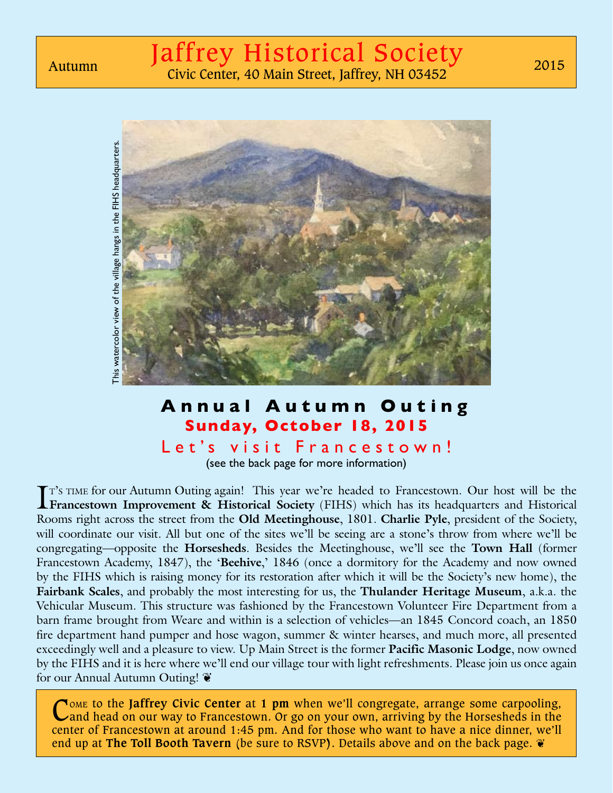

## **Annual Autumn Outing Sunday, October 18, 2015**

Let's visit Francestown! (see the back page for more information)

I<sup>T's TIME</sup> for our Autumn Outing again! This year we're headed to Francestown. Our host will be the **Francestown Improvement & Historical Society** (FIHS) which has its headquarters and Historical **Francestown Improvement & Historical Society** (FIHS) which has its headquarters and Historical Rooms right across the street from the **Old Meetinghouse**, 1801. **Charlie Pyle**, president of the Society, will coordinate our visit. All but one of the sites we'll be seeing are a stone's throw from where we'll be congregating—opposite the **Horsesheds**. Besides the Meetinghouse, we'll see the **Town Hall** (former Francestown Academy, 1847), the 'Beehive,' 1846 (once a dormitory for the Academy and now owned by the FIHS which is raising money for its restoration after which it will be the Society's new home), the **Fairbank Scales**, and probably the most interesting for us, the **Thulander Heritage Museum**, a.k.a. the Vehicular Museum. This structure was fashioned by the Francestown Volunteer Fire Department from a barn frame brought from Weare and within is a selection of vehicles—an 1845 Concord coach, an 1850 fire department hand pumper and hose wagon, summer & winter hearses, and much more, all presented exceedingly well and a pleasure to view. Up Main Street is the former **Pacific Masonic Lodge**, now owned by the FIHS and it is here where we'll end our village tour with light refreshments. Please join us once again for our Annual Autumn Outing!

C<sub>ome</sub> to the **Jaffrey Civic Center** at 1 pm when we'll congregate, arrange some carpooling, Cand head on our way to Francestown. Or go on your own, arriving by the Horsesheds in the center of Francestown at around 1:45 pm. And for those who want to have a nice dinner, we'll